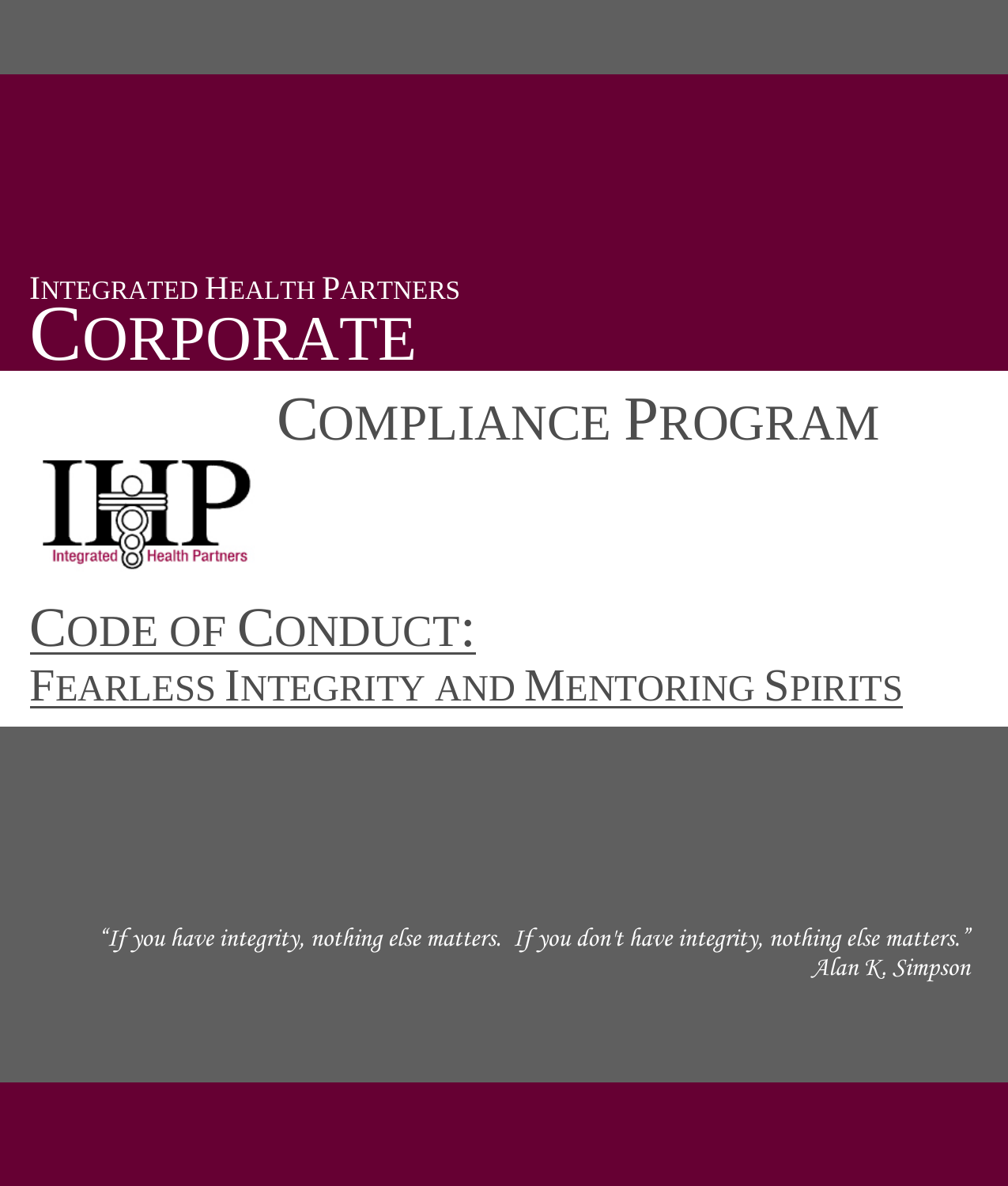# INTEGRATED HEALTH PARTNERS CORPORATE

# COMPLIANCE PROGRAM



# CODE OF CONDUCT: FEARLESS INTEGRITY AND MENTORING SPIRITS

*"If you have integrity, nothing else matters. If you don't have integrity, nothing else matters." Alan K. Simpson*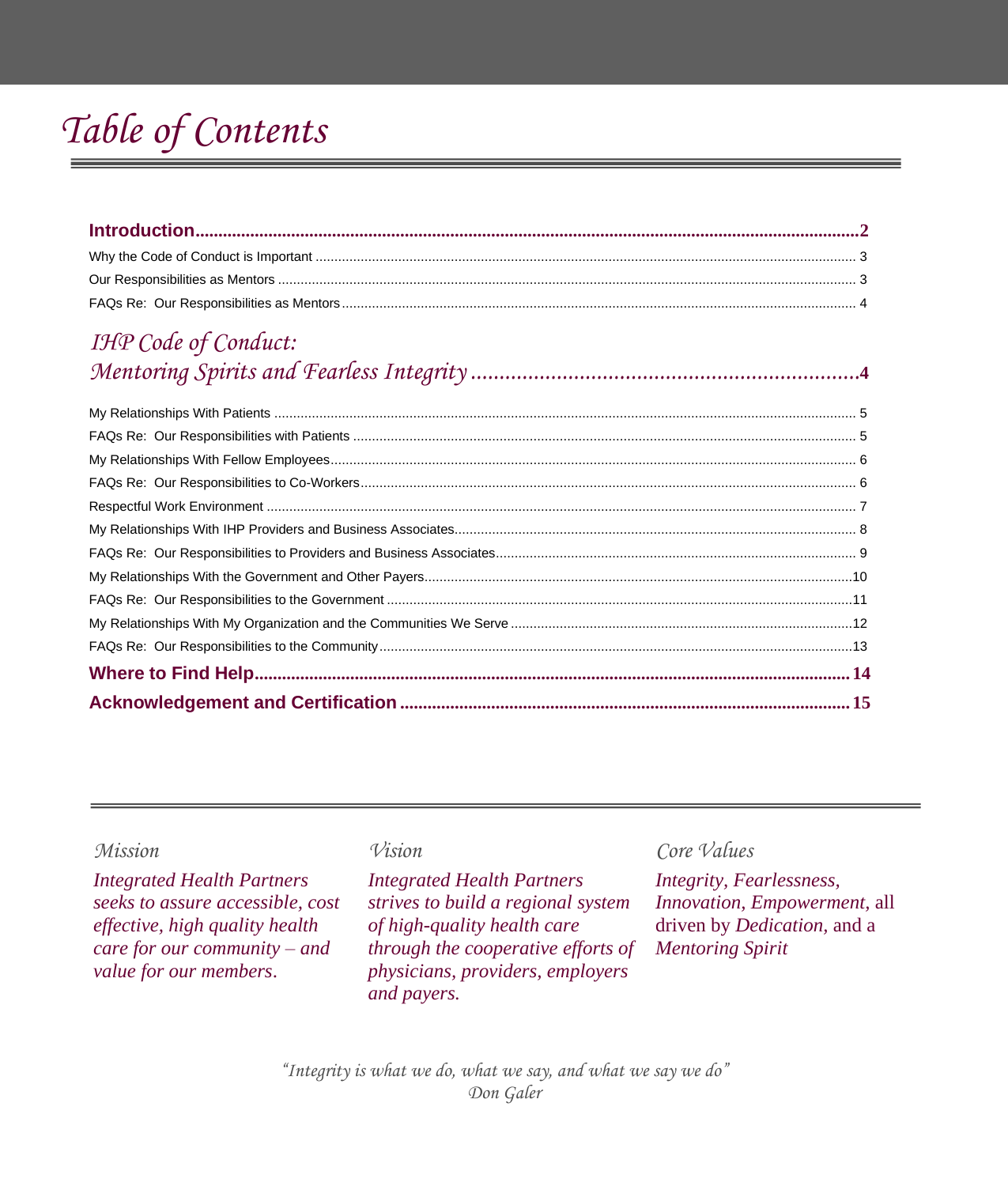## *Table of Contents*

## *IHP Code of Conduct: Mentoring Spirits and Fearless Integrity ....................................................................***<sup>4</sup>**

*Integrated Health Partners seeks to assure accessible, cost effective, high quality health care for our community – and value for our members*.

*Integrated Health Partners strives to build a regional system of high-quality health care through the cooperative efforts of physicians, providers, employers and payers.*

## *Mission Vision Core Values*

*Integrity, Fearlessness, Innovation, Empowerment,* all driven by *Dedication,* and a *Mentoring Spirit*

*"Integrity is what we do, what we say, and what we say we do" Don Galer*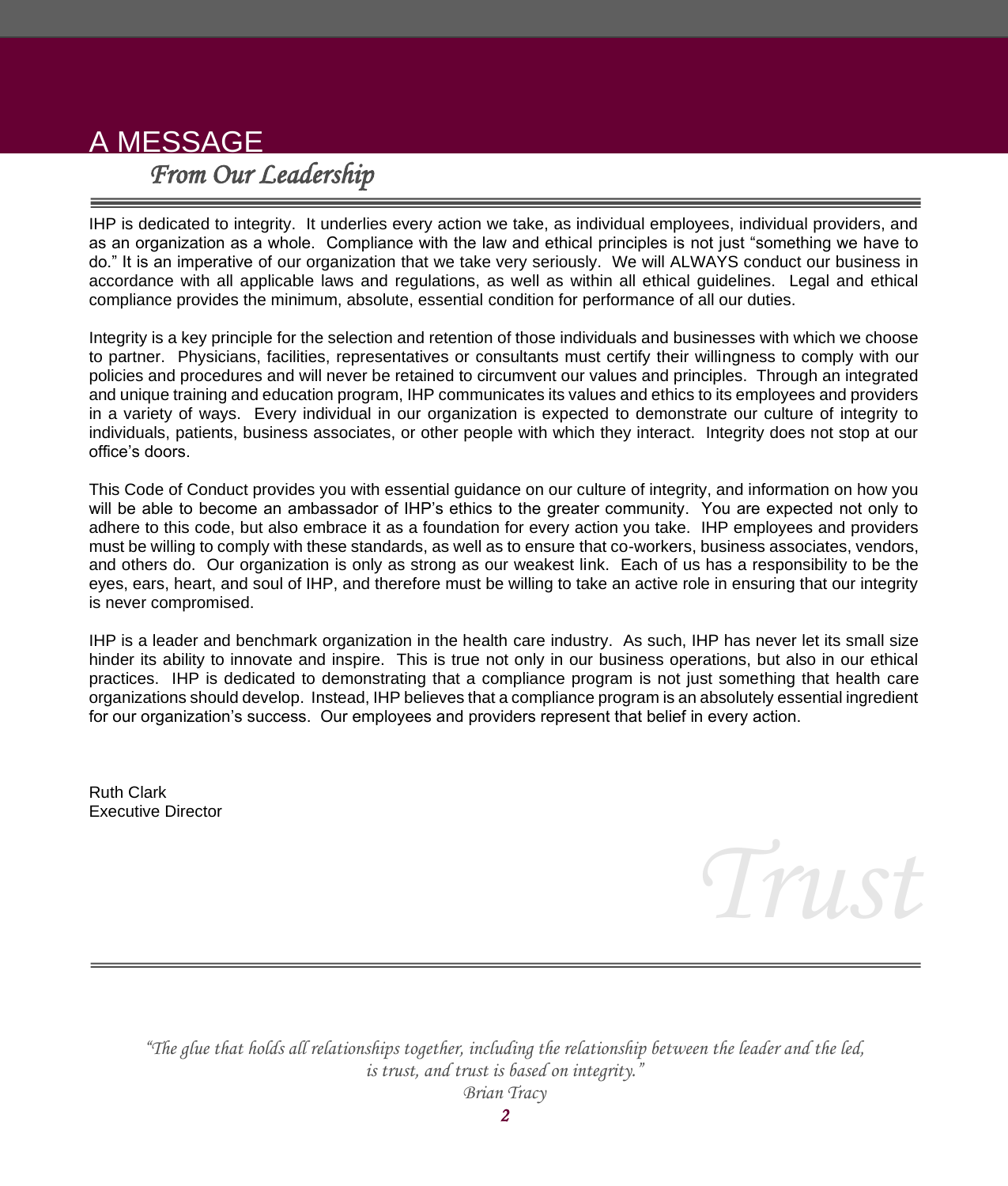## A MESSAGE *From Our Leadership*

IHP is dedicated to integrity. It underlies every action we take, as individual employees, individual providers, and as an organization as a whole. Compliance with the law and ethical principles is not just "something we have to do." It is an imperative of our organization that we take very seriously. We will ALWAYS conduct our business in accordance with all applicable laws and regulations, as well as within all ethical guidelines. Legal and ethical compliance provides the minimum, absolute, essential condition for performance of all our duties.

Integrity is a key principle for the selection and retention of those individuals and businesses with which we choose to partner. Physicians, facilities, representatives or consultants must certify their willingness to comply with our policies and procedures and will never be retained to circumvent our values and principles. Through an integrated and unique training and education program, IHP communicates its values and ethics to its employees and providers in a variety of ways. Every individual in our organization is expected to demonstrate our culture of integrity to individuals, patients, business associates, or other people with which they interact. Integrity does not stop at our office's doors.

This Code of Conduct provides you with essential guidance on our culture of integrity, and information on how you will be able to become an ambassador of IHP's ethics to the greater community. You are expected not only to adhere to this code, but also embrace it as a foundation for every action you take. IHP employees and providers must be willing to comply with these standards, as well as to ensure that co-workers, business associates, vendors, and others do. Our organization is only as strong as our weakest link. Each of us has a responsibility to be the eyes, ears, heart, and soul of IHP, and therefore must be willing to take an active role in ensuring that our integrity is never compromised.

IHP is a leader and benchmark organization in the health care industry. As such, IHP has never let its small size hinder its ability to innovate and inspire. This is true not only in our business operations, but also in our ethical practices. IHP is dedicated to demonstrating that a compliance program is not just something that health care organizations should develop. Instead, IHP believes that a compliance program is an absolutely essential ingredient for our organization's success. Our employees and providers represent that belief in every action.

Ruth Clark Executive Director



*"The glue that holds all relationships together, including the relationship between the leader and the led, is trust, and trust is based on integrity."*

*Brian Tracy*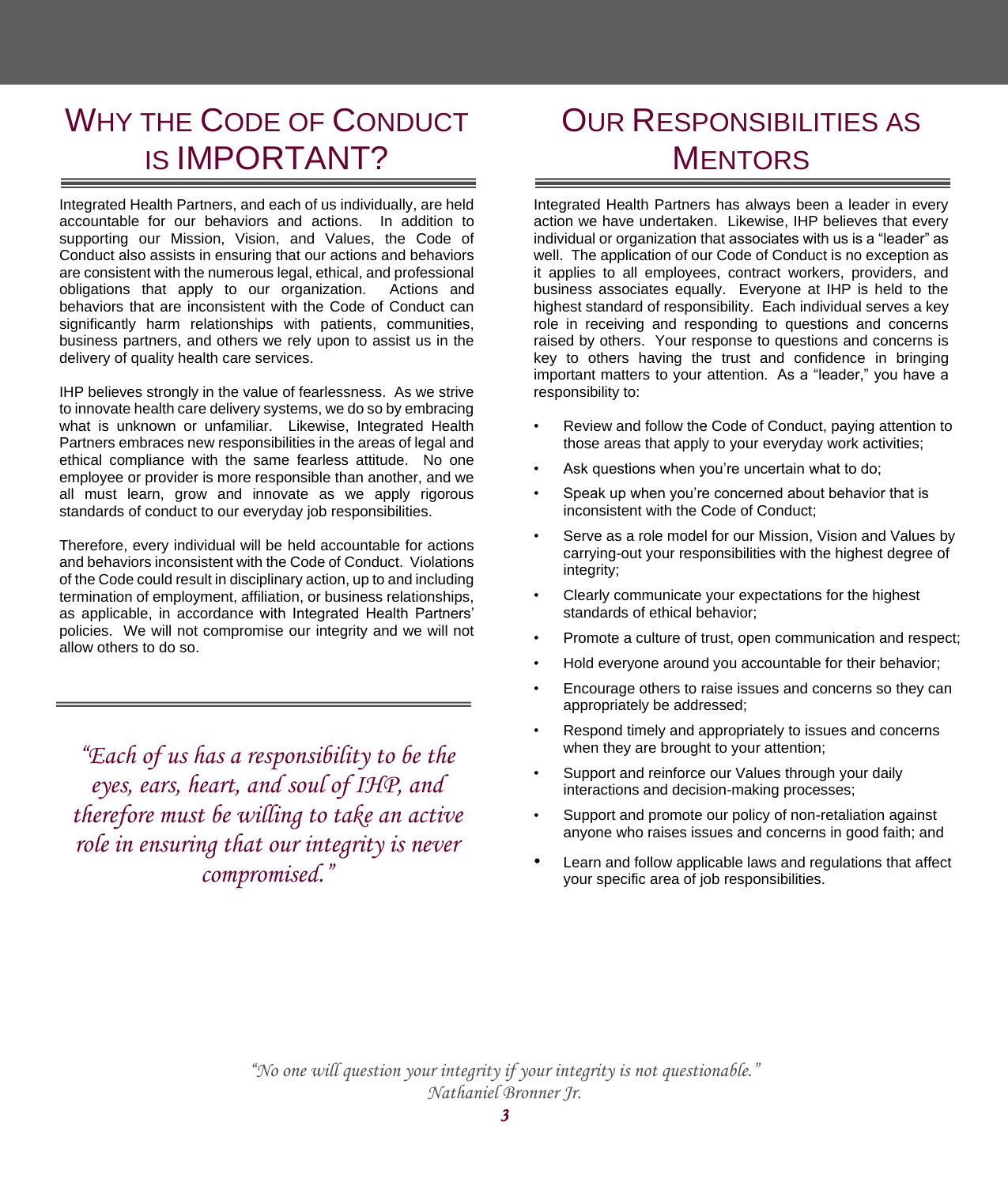## WHY THE CODE OF CONDUCT IS IMPORTANT?

Integrated Health Partners, and each of us individually, are held accountable for our behaviors and actions. In addition to supporting our Mission, Vision, and Values, the Code of Conduct also assists in ensuring that our actions and behaviors are consistent with the numerous legal, ethical, and professional obligations that apply to our organization. Actions and behaviors that are inconsistent with the Code of Conduct can significantly harm relationships with patients, communities, business partners, and others we rely upon to assist us in the delivery of quality health care services.

IHP believes strongly in the value of fearlessness. As we strive to innovate health care delivery systems, we do so by embracing what is unknown or unfamiliar. Likewise, Integrated Health Partners embraces new responsibilities in the areas of legal and ethical compliance with the same fearless attitude. No one employee or provider is more responsible than another, and we all must learn, grow and innovate as we apply rigorous standards of conduct to our everyday job responsibilities.

Therefore, every individual will be held accountable for actions and behaviors inconsistent with the Code of Conduct. Violations of the Code could result in disciplinary action, up to and including termination of employment, affiliation, or business relationships, as applicable, in accordance with Integrated Health Partners' policies. We will not compromise our integrity and we will not allow others to do so.

*"Each of us has a responsibility to be the eyes, ears, heart, and soul of IHP, and therefore must be willing to take an active role in ensuring that our integrity is never compromised."*

## OUR RESPONSIBILITIES AS **MENTORS**

Integrated Health Partners has always been a leader in every action we have undertaken. Likewise, IHP believes that every individual or organization that associates with us is a "leader" as well. The application of our Code of Conduct is no exception as it applies to all employees, contract workers, providers, and business associates equally. Everyone at IHP is held to the highest standard of responsibility. Each individual serves a key role in receiving and responding to questions and concerns raised by others. Your response to questions and concerns is key to others having the trust and confidence in bringing important matters to your attention. As a "leader," you have a responsibility to:

- Review and follow the Code of Conduct, paying attention to those areas that apply to your everyday work activities;
- Ask questions when you're uncertain what to do;
- Speak up when you're concerned about behavior that is inconsistent with the Code of Conduct;
- Serve as a role model for our Mission, Vision and Values by carrying-out your responsibilities with the highest degree of integrity;
- Clearly communicate your expectations for the highest standards of ethical behavior;
- Promote a culture of trust, open communication and respect;
- Hold everyone around you accountable for their behavior;
- Encourage others to raise issues and concerns so they can appropriately be addressed;
- Respond timely and appropriately to issues and concerns when they are brought to your attention;
- Support and reinforce our Values through your daily interactions and decision-making processes;
- Support and promote our policy of non-retaliation against anyone who raises issues and concerns in good faith; and
- Learn and follow applicable laws and regulations that affect your specific area of job responsibilities.

*"No one will question your integrity if your integrity is not questionable." Nathaniel Bronner Jr.*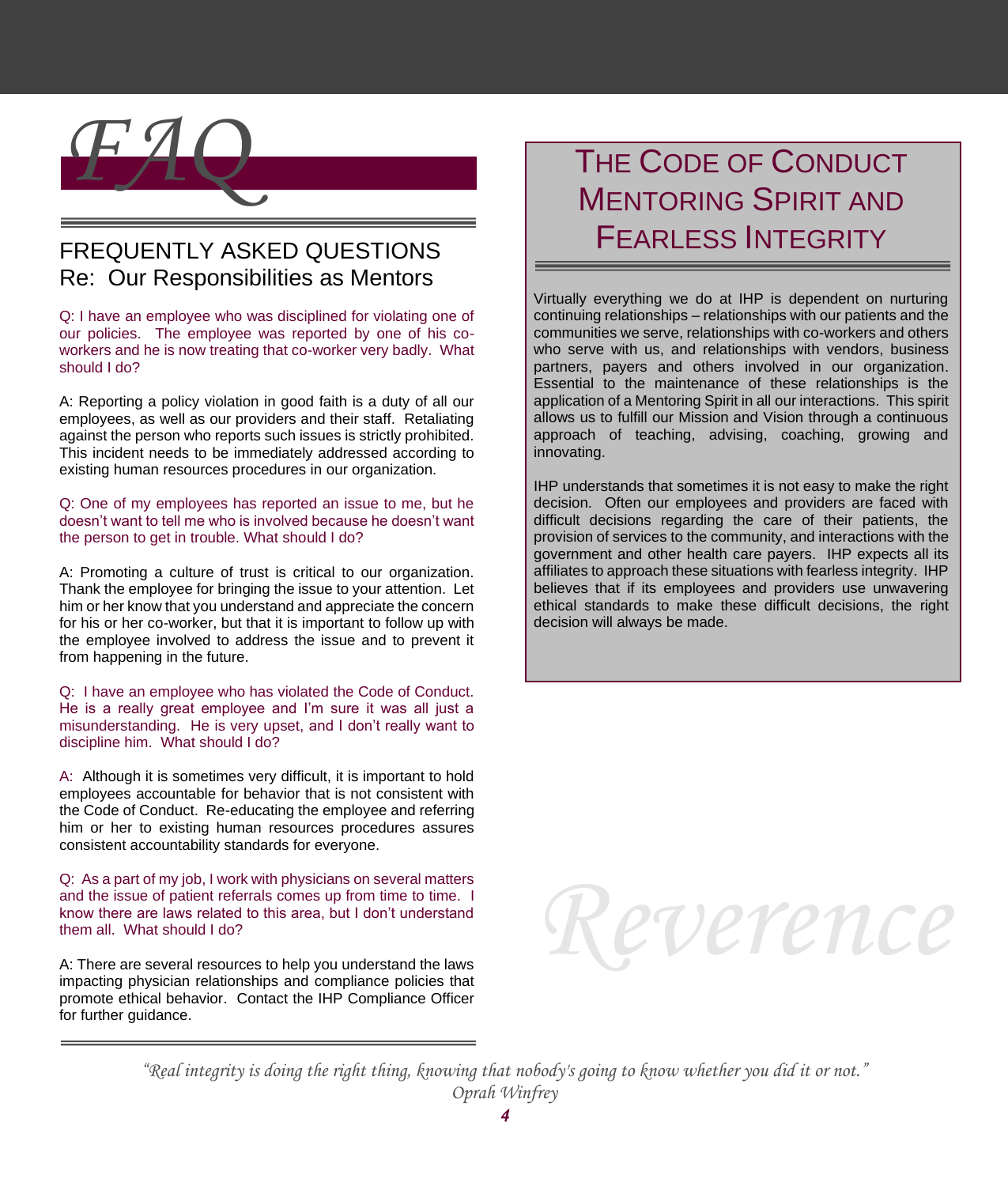

## FREQUENTLY ASKED QUESTIONS Re: Our Responsibilities as Mentors

Q: I have an employee who was disciplined for violating one of our policies. The employee was reported by one of his coworkers and he is now treating that co-worker very badly. What should I do?

A: Reporting a policy violation in good faith is a duty of all our employees, as well as our providers and their staff. Retaliating against the person who reports such issues is strictly prohibited. This incident needs to be immediately addressed according to existing human resources procedures in our organization.

Q: One of my employees has reported an issue to me, but he doesn't want to tell me who is involved because he doesn't want the person to get in trouble. What should I do?

A: Promoting a culture of trust is critical to our organization. Thank the employee for bringing the issue to your attention. Let him or her know that you understand and appreciate the concern for his or her co-worker, but that it is important to follow up with the employee involved to address the issue and to prevent it from happening in the future.

Q: I have an employee who has violated the Code of Conduct. He is a really great employee and I'm sure it was all just a misunderstanding. He is very upset, and I don't really want to discipline him. What should I do?

A: Although it is sometimes very difficult, it is important to hold employees accountable for behavior that is not consistent with the Code of Conduct. Re-educating the employee and referring him or her to existing human resources procedures assures consistent accountability standards for everyone.

Q: As a part of my job, I work with physicians on several matters and the issue of patient referrals comes up from time to time. I know there are laws related to this area, but I don't understand them all. What should I do?

A: There are several resources to help you understand the laws impacting physician relationships and compliance policies that promote ethical behavior. Contact the IHP Compliance Officer for further guidance.

## THE CODE OF CONDUCT MENTORING SPIRIT AND FEARLESS INTEGRITY

Virtually everything we do at IHP is dependent on nurturing continuing relationships – relationships with our patients and the communities we serve, relationships with co-workers and others who serve with us, and relationships with vendors, business partners, payers and others involved in our organization. Essential to the maintenance of these relationships is the application of a Mentoring Spirit in all our interactions. This spirit allows us to fulfill our Mission and Vision through a continuous approach of teaching, advising, coaching, growing and innovating.

IHP understands that sometimes it is not easy to make the right decision. Often our employees and providers are faced with difficult decisions regarding the care of their patients, the provision of services to the community, and interactions with the government and other health care payers. IHP expects all its affiliates to approach these situations with fearless integrity. IHP believes that if its employees and providers use unwavering ethical standards to make these difficult decisions, the right decision will always be made.



*"Real integrity is doing the right thing, knowing that nobody's going to know whether you did it or not." Oprah Winfrey*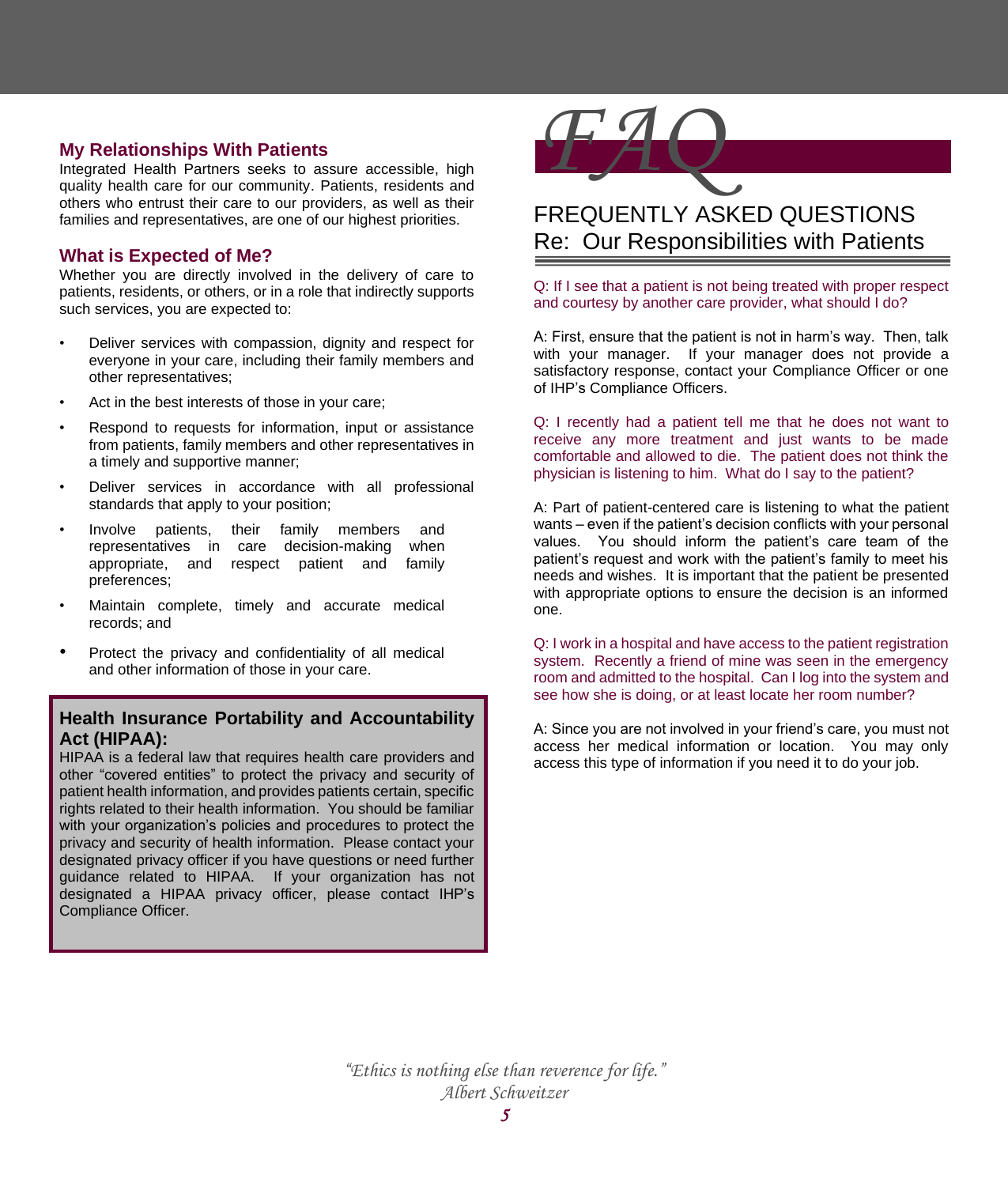## **My Relationships With Patients**

Integrated Health Partners seeks to assure accessible, high quality health care for our community. Patients, residents and others who entrust their care to our providers, as well as their families and representatives, are one of our highest priorities.

#### **What is Expected of Me?**

Whether you are directly involved in the delivery of care to patients, residents, or others, or in a role that indirectly supports such services, you are expected to:

- Deliver services with compassion, dignity and respect for everyone in your care, including their family members and other representatives;
- Act in the best interests of those in your care;
- Respond to requests for information, input or assistance from patients, family members and other representatives in a timely and supportive manner;
- Deliver services in accordance with all professional standards that apply to your position;
- Involve patients, their family members and representatives in care decision-making when appropriate, and respect patient and family preferences;
- Maintain complete, timely and accurate medical records; and
- Protect the privacy and confidentiality of all medical and other information of those in your care.

## **Health Insurance Portability and Accountability Act (HIPAA):**

HIPAA is a federal law that requires health care providers and other "covered entities" to protect the privacy and security of patient health information, and provides patients certain, specific rights related to their health information. You should be familiar with your organization's policies and procedures to protect the privacy and security of health information. Please contact your designated privacy officer if you have questions or need further guidance related to HIPAA. If your organization has not designated a HIPAA privacy officer, please contact IHP's Compliance Officer.



## FREQUENTLY ASKED QUESTIONS Re: Our Responsibilities with Patients

Q: If I see that a patient is not being treated with proper respect and courtesy by another care provider, what should I do?

A: First, ensure that the patient is not in harm's way. Then, talk with your manager. If your manager does not provide a satisfactory response, contact your Compliance Officer or one of IHP's Compliance Officers.

Q: I recently had a patient tell me that he does not want to receive any more treatment and just wants to be made comfortable and allowed to die. The patient does not think the physician is listening to him. What do I say to the patient?

A: Part of patient-centered care is listening to what the patient wants – even if the patient's decision conflicts with your personal values. You should inform the patient's care team of the patient's request and work with the patient's family to meet his needs and wishes. It is important that the patient be presented with appropriate options to ensure the decision is an informed one.

Q: I work in a hospital and have access to the patient registration system. Recently a friend of mine was seen in the emergency room and admitted to the hospital. Can I log into the system and see how she is doing, or at least locate her room number?

A: Since you are not involved in your friend's care, you must not access her medical information or location. You may only access this type of information if you need it to do your job.

*"Ethics is nothing else than reverence for life." Albert Schweitzer*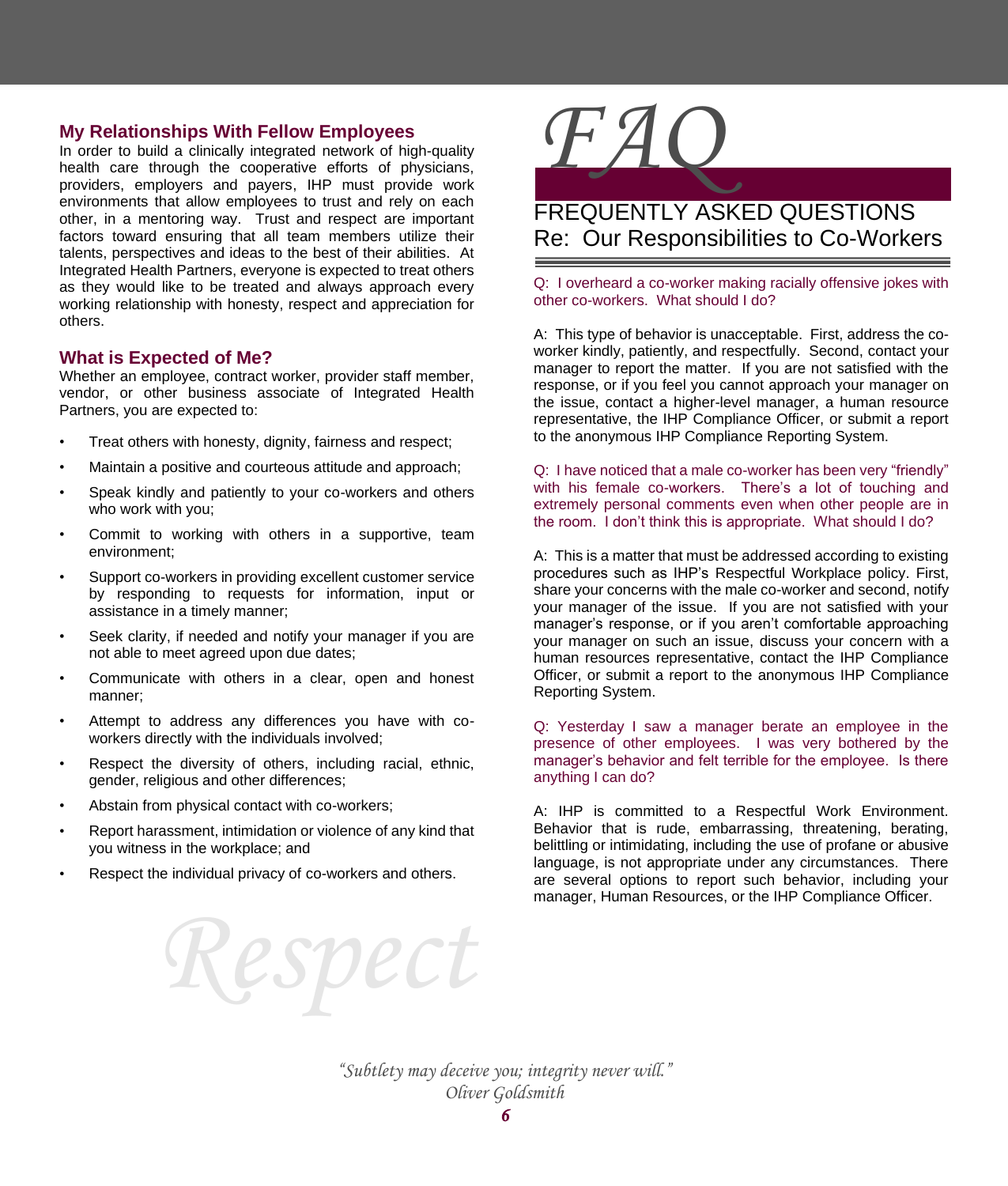#### **My Relationships With Fellow Employees**

In order to build a clinically integrated network of high-quality health care through the cooperative efforts of physicians, providers, employers and payers, IHP must provide work environments that allow employees to trust and rely on each other, in a mentoring way. Trust and respect are important factors toward ensuring that all team members utilize their talents, perspectives and ideas to the best of their abilities. At Integrated Health Partners, everyone is expected to treat others as they would like to be treated and always approach every working relationship with honesty, respect and appreciation for others.

#### **What is Expected of Me?**

Whether an employee, contract worker, provider staff member, vendor, or other business associate of Integrated Health Partners, you are expected to:

- Treat others with honesty, dignity, fairness and respect;
- Maintain a positive and courteous attitude and approach;
- Speak kindly and patiently to your co-workers and others who work with you;
- Commit to working with others in a supportive, team environment;
- Support co-workers in providing excellent customer service by responding to requests for information, input or assistance in a timely manner;
- Seek clarity, if needed and notify your manager if you are not able to meet agreed upon due dates;
- Communicate with others in a clear, open and honest manner;
- Attempt to address any differences you have with coworkers directly with the individuals involved;
- Respect the diversity of others, including racial, ethnic, gender, religious and other differences;
- Abstain from physical contact with co-workers;
- Report harassment, intimidation or violence of any kind that you witness in the workplace; and

*Respect*

Respect the individual privacy of co-workers and others.



## FREQUENTLY ASKED QUESTIONS Re: Our Responsibilities to Co-Workers

Q: I overheard a co-worker making racially offensive jokes with other co-workers. What should I do?

A: This type of behavior is unacceptable. First, address the coworker kindly, patiently, and respectfully. Second, contact your manager to report the matter. If you are not satisfied with the response, or if you feel you cannot approach your manager on the issue, contact a higher-level manager, a human resource representative, the IHP Compliance Officer, or submit a report to the anonymous IHP Compliance Reporting System.

Q: I have noticed that a male co-worker has been very "friendly" with his female co-workers. There's a lot of touching and extremely personal comments even when other people are in the room. I don't think this is appropriate. What should I do?

A: This is a matter that must be addressed according to existing procedures such as IHP's Respectful Workplace policy. First, share your concerns with the male co-worker and second, notify your manager of the issue. If you are not satisfied with your manager's response, or if you aren't comfortable approaching your manager on such an issue, discuss your concern with a human resources representative, contact the IHP Compliance Officer, or submit a report to the anonymous IHP Compliance Reporting System.

Q: Yesterday I saw a manager berate an employee in the presence of other employees. I was very bothered by the manager's behavior and felt terrible for the employee. Is there anything I can do?

A: IHP is committed to a Respectful Work Environment. Behavior that is rude, embarrassing, threatening, berating, belittling or intimidating, including the use of profane or abusive language, is not appropriate under any circumstances. There are several options to report such behavior, including your manager, Human Resources, or the IHP Compliance Officer.

*"Subtlety may deceive you; integrity never will." Oliver Goldsmith*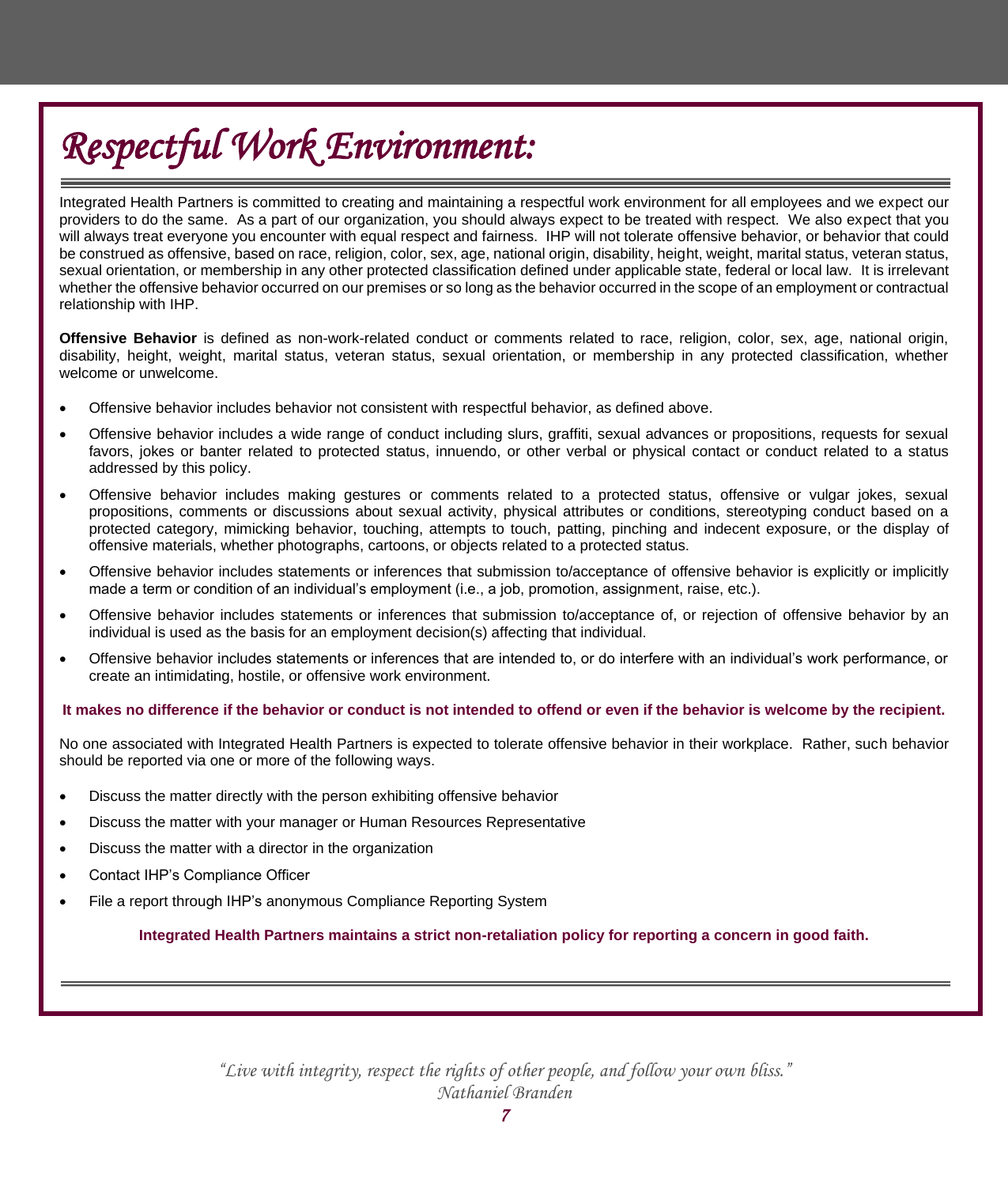# *Respectful Work Environment:*

Integrated Health Partners is committed to creating and maintaining a respectful work environment for all employees and we expect our providers to do the same. As a part of our organization, you should always expect to be treated with respect. We also expect that you will always treat everyone you encounter with equal respect and fairness. IHP will not tolerate offensive behavior, or behavior that could be construed as offensive, based on race, religion, color, sex, age, national origin, disability, height, weight, marital status, veteran status, sexual orientation, or membership in any other protected classification defined under applicable state, federal or local law. It is irrelevant whether the offensive behavior occurred on our premises or so long as the behavior occurred in the scope of an employment or contractual relationship with IHP.

**Offensive Behavior** is defined as non-work-related conduct or comments related to race, religion, color, sex, age, national origin, disability, height, weight, marital status, veteran status, sexual orientation, or membership in any protected classification, whether welcome or unwelcome.

- Offensive behavior includes behavior not consistent with respectful behavior, as defined above.
- Offensive behavior includes a wide range of conduct including slurs, graffiti, sexual advances or propositions, requests for sexual favors, jokes or banter related to protected status, innuendo, or other verbal or physical contact or conduct related to a status addressed by this policy.
- Offensive behavior includes making gestures or comments related to a protected status, offensive or vulgar jokes, sexual propositions, comments or discussions about sexual activity, physical attributes or conditions, stereotyping conduct based on a protected category, mimicking behavior, touching, attempts to touch, patting, pinching and indecent exposure, or the display of offensive materials, whether photographs, cartoons, or objects related to a protected status.
- Offensive behavior includes statements or inferences that submission to/acceptance of offensive behavior is explicitly or implicitly made a term or condition of an individual's employment (i.e., a job, promotion, assignment, raise, etc.).
- Offensive behavior includes statements or inferences that submission to/acceptance of, or rejection of offensive behavior by an individual is used as the basis for an employment decision(s) affecting that individual.
- Offensive behavior includes statements or inferences that are intended to, or do interfere with an individual's work performance, or create an intimidating, hostile, or offensive work environment.

#### **It makes no difference if the behavior or conduct is not intended to offend or even if the behavior is welcome by the recipient.**

No one associated with Integrated Health Partners is expected to tolerate offensive behavior in their workplace. Rather, such behavior should be reported via one or more of the following ways.

- Discuss the matter directly with the person exhibiting offensive behavior
- Discuss the matter with your manager or Human Resources Representative
- Discuss the matter with a director in the organization
- Contact IHP's Compliance Officer
- File a report through IHP's anonymous Compliance Reporting System

**Integrated Health Partners maintains a strict non-retaliation policy for reporting a concern in good faith.**

*"Live with integrity, respect the rights of other people, and follow your own bliss." Nathaniel Branden*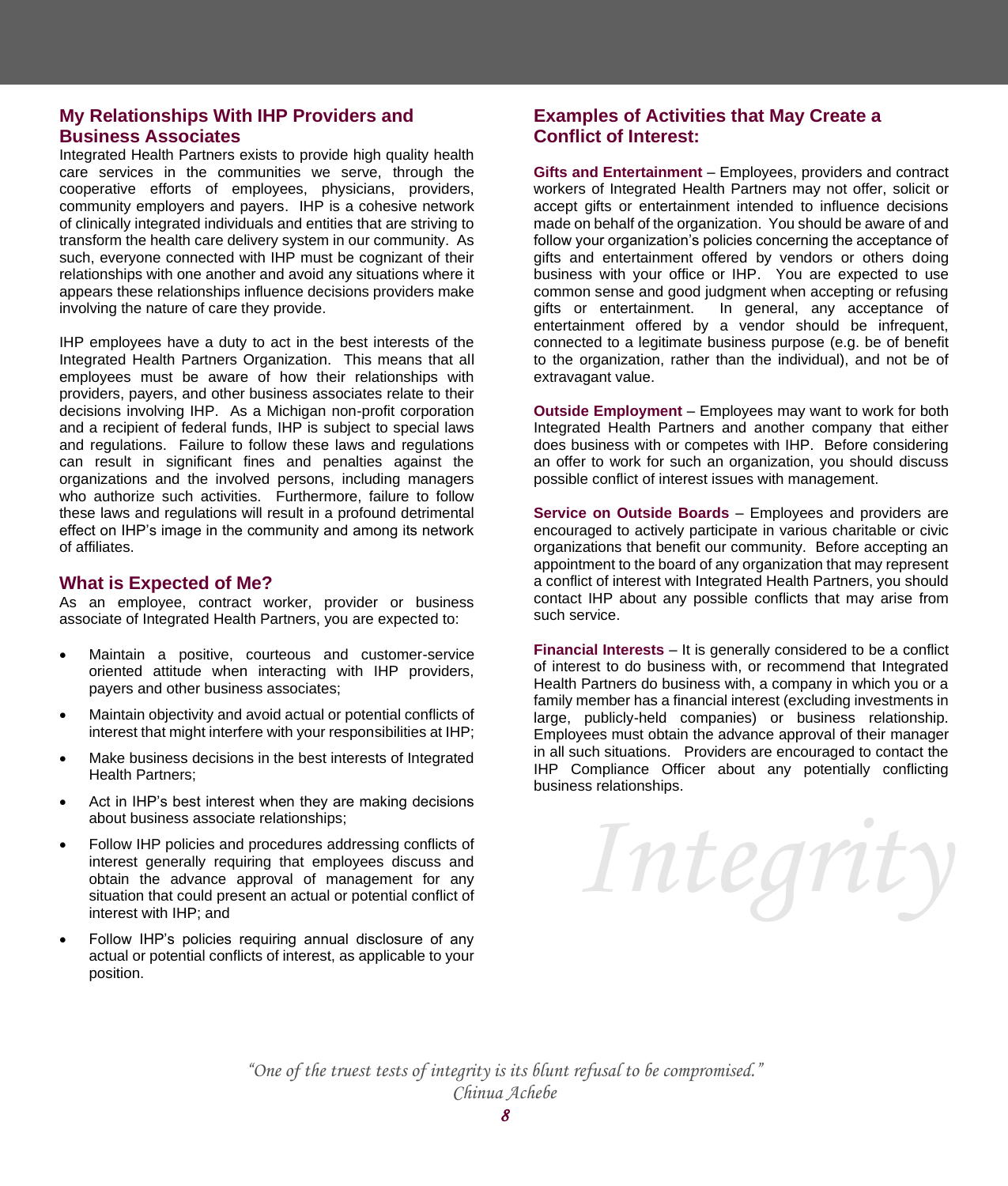## **My Relationships With IHP Providers and Business Associates**

Integrated Health Partners exists to provide high quality health care services in the communities we serve, through the cooperative efforts of employees, physicians, providers, community employers and payers. IHP is a cohesive network of clinically integrated individuals and entities that are striving to transform the health care delivery system in our community. As such, everyone connected with IHP must be cognizant of their relationships with one another and avoid any situations where it appears these relationships influence decisions providers make involving the nature of care they provide.

IHP employees have a duty to act in the best interests of the Integrated Health Partners Organization. This means that all employees must be aware of how their relationships with providers, payers, and other business associates relate to their decisions involving IHP. As a Michigan non-profit corporation and a recipient of federal funds, IHP is subject to special laws and regulations. Failure to follow these laws and regulations can result in significant fines and penalties against the organizations and the involved persons, including managers who authorize such activities. Furthermore, failure to follow these laws and regulations will result in a profound detrimental effect on IHP's image in the community and among its network of affiliates.

## **What is Expected of Me?**

As an employee, contract worker, provider or business associate of Integrated Health Partners, you are expected to:

- Maintain a positive, courteous and customer-service oriented attitude when interacting with IHP providers, payers and other business associates;
- Maintain objectivity and avoid actual or potential conflicts of interest that might interfere with your responsibilities at IHP;
- Make business decisions in the best interests of Integrated Health Partners;
- Act in IHP's best interest when they are making decisions about business associate relationships;
- Follow IHP policies and procedures addressing conflicts of interest generally requiring that employees discuss and obtain the advance approval of management for any situation that could present an actual or potential conflict of interest with IHP; and
- Follow IHP's policies requiring annual disclosure of any actual or potential conflicts of interest, as applicable to your position.

## **Examples of Activities that May Create a Conflict of Interest:**

**Gifts and Entertainment** – Employees, providers and contract workers of Integrated Health Partners may not offer, solicit or accept gifts or entertainment intended to influence decisions made on behalf of the organization. You should be aware of and follow your organization's policies concerning the acceptance of gifts and entertainment offered by vendors or others doing business with your office or IHP. You are expected to use common sense and good judgment when accepting or refusing gifts or entertainment. In general, any acceptance of entertainment offered by a vendor should be infrequent, connected to a legitimate business purpose (e.g. be of benefit to the organization, rather than the individual), and not be of extravagant value.

**Outside Employment** – Employees may want to work for both Integrated Health Partners and another company that either does business with or competes with IHP. Before considering an offer to work for such an organization, you should discuss possible conflict of interest issues with management.

**Service on Outside Boards** – Employees and providers are encouraged to actively participate in various charitable or civic organizations that benefit our community. Before accepting an appointment to the board of any organization that may represent a conflict of interest with Integrated Health Partners, you should contact IHP about any possible conflicts that may arise from such service.

**Financial Interests** – It is generally considered to be a conflict of interest to do business with, or recommend that Integrated Health Partners do business with, a company in which you or a family member has a financial interest (excluding investments in large, publicly-held companies) or business relationship. Employees must obtain the advance approval of their manager in all such situations. Providers are encouraged to contact the IHP Compliance Officer about any potentially conflicting business relationships.

*Integrity*

*"One of the truest tests of integrity is its blunt refusal to be compromised." Chinua Achebe*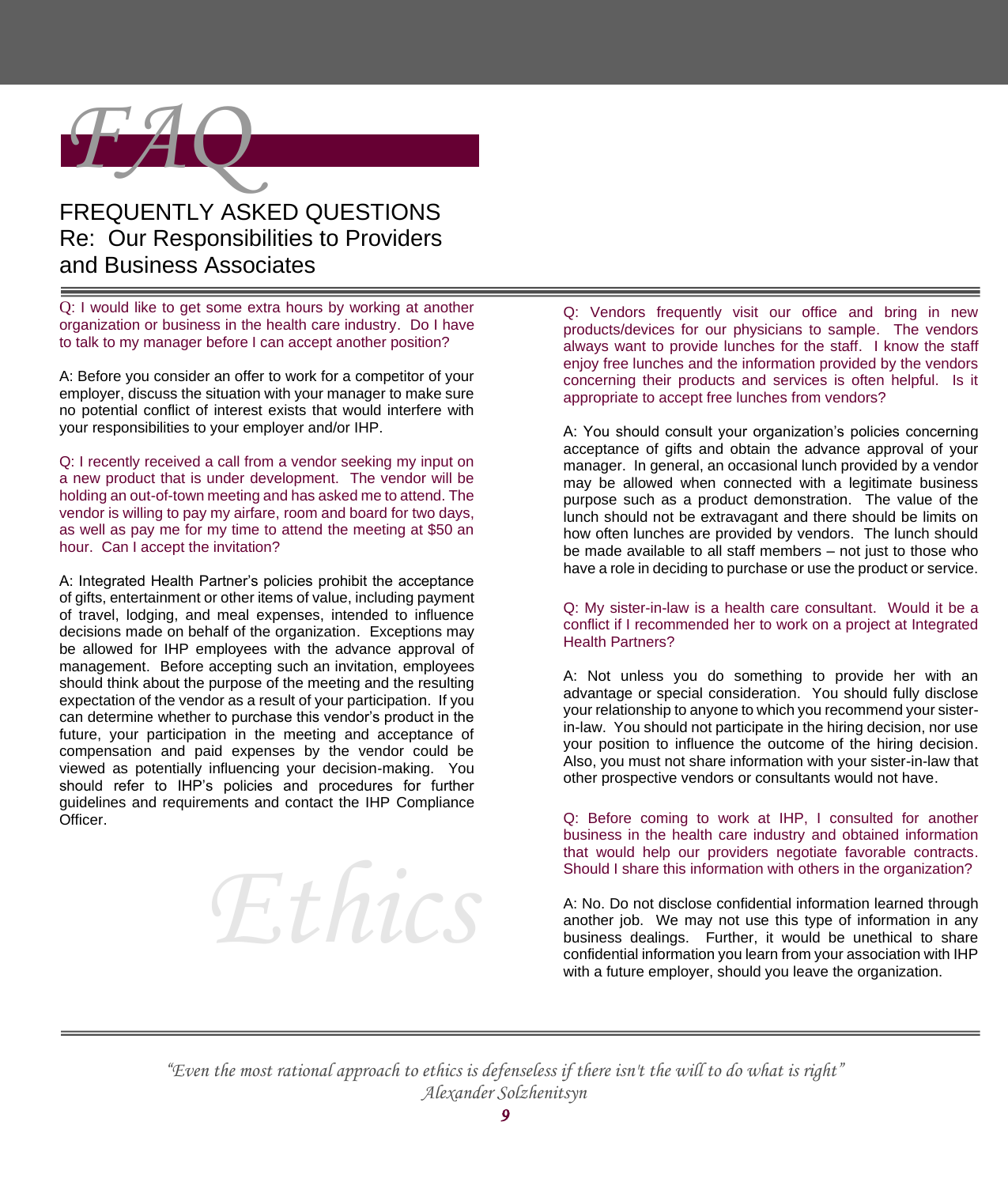

## FREQUENTLY ASKED QUESTIONS Re: Our Responsibilities to Providers and Business Associates

Q: I would like to get some extra hours by working at another organization or business in the health care industry. Do I have to talk to my manager before I can accept another position?

A: Before you consider an offer to work for a competitor of your employer, discuss the situation with your manager to make sure no potential conflict of interest exists that would interfere with your responsibilities to your employer and/or IHP.

Q: I recently received a call from a vendor seeking my input on a new product that is under development. The vendor will be holding an out-of-town meeting and has asked me to attend. The vendor is willing to pay my airfare, room and board for two days, as well as pay me for my time to attend the meeting at \$50 an hour. Can I accept the invitation?

A: Integrated Health Partner's policies prohibit the acceptance of gifts, entertainment or other items of value, including payment of travel, lodging, and meal expenses, intended to influence decisions made on behalf of the organization. Exceptions may be allowed for IHP employees with the advance approval of management. Before accepting such an invitation, employees should think about the purpose of the meeting and the resulting expectation of the vendor as a result of your participation. If you can determine whether to purchase this vendor's product in the future, your participation in the meeting and acceptance of compensation and paid expenses by the vendor could be viewed as potentially influencing your decision-making. You should refer to IHP's policies and procedures for further guidelines and requirements and contact the IHP Compliance Officer.



Q: Vendors frequently visit our office and bring in new products/devices for our physicians to sample. The vendors always want to provide lunches for the staff. I know the staff enjoy free lunches and the information provided by the vendors concerning their products and services is often helpful. Is it appropriate to accept free lunches from vendors?

A: You should consult your organization's policies concerning acceptance of gifts and obtain the advance approval of your manager. In general, an occasional lunch provided by a vendor may be allowed when connected with a legitimate business purpose such as a product demonstration. The value of the lunch should not be extravagant and there should be limits on how often lunches are provided by vendors. The lunch should be made available to all staff members – not just to those who have a role in deciding to purchase or use the product or service.

#### Q: My sister-in-law is a health care consultant. Would it be a conflict if I recommended her to work on a project at Integrated Health Partners?

A: Not unless you do something to provide her with an advantage or special consideration. You should fully disclose your relationship to anyone to which you recommend your sisterin-law. You should not participate in the hiring decision, nor use your position to influence the outcome of the hiring decision. Also, you must not share information with your sister-in-law that other prospective vendors or consultants would not have.

Q: Before coming to work at IHP, I consulted for another business in the health care industry and obtained information that would help our providers negotiate favorable contracts. Should I share this information with others in the organization?

A: No. Do not disclose confidential information learned through another job. We may not use this type of information in any business dealings. Further, it would be unethical to share confidential information you learn from your association with IHP with a future employer, should you leave the organization.

*"Even the most rational approach to ethics is defenseless if there isn't the will to do what is right" Alexander Solzhenitsyn*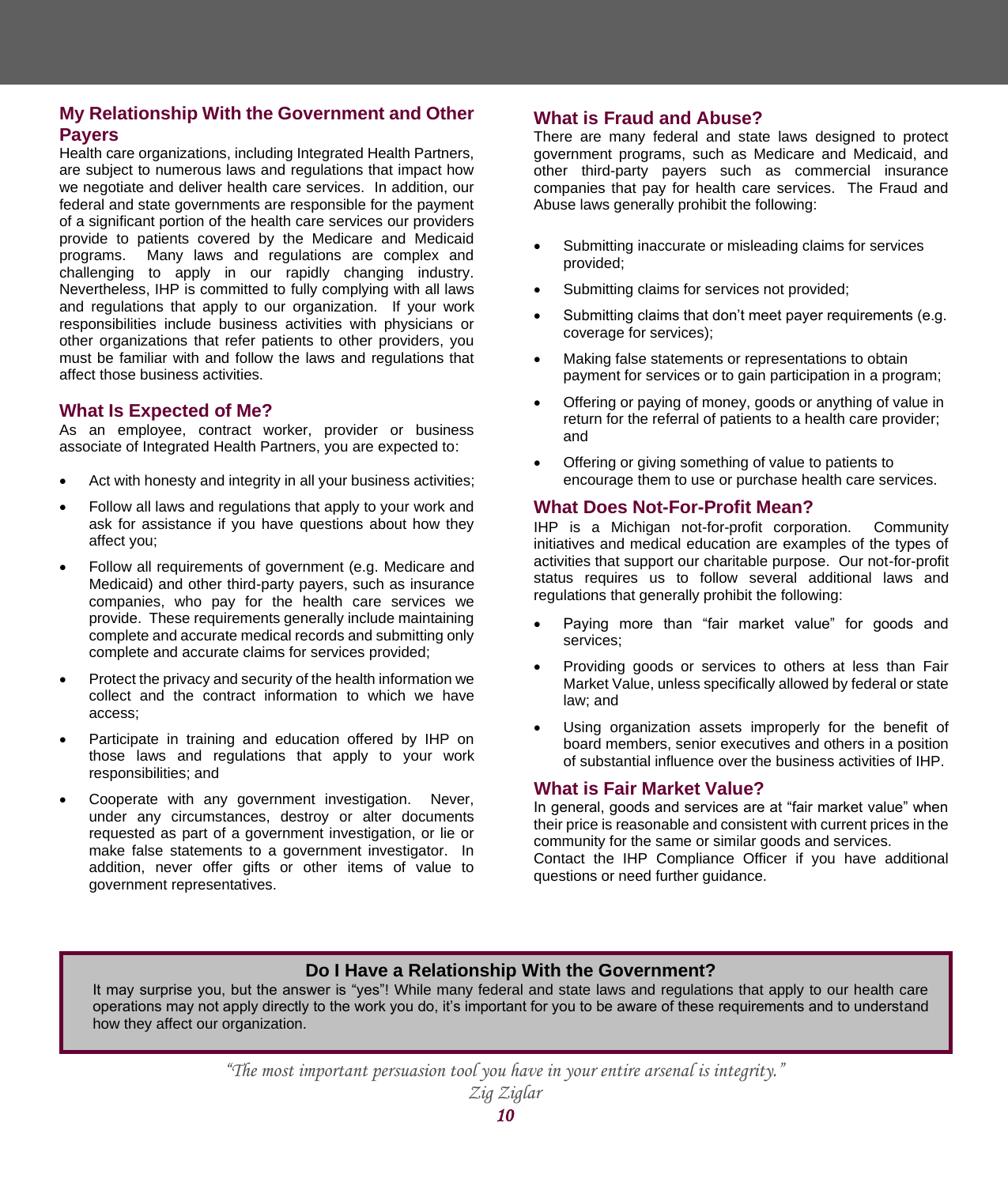## **My Relationship With the Government and Other Payers**

Health care organizations, including Integrated Health Partners, are subject to numerous laws and regulations that impact how we negotiate and deliver health care services. In addition, our federal and state governments are responsible for the payment of a significant portion of the health care services our providers provide to patients covered by the Medicare and Medicaid programs. Many laws and regulations are complex and challenging to apply in our rapidly changing industry. Nevertheless, IHP is committed to fully complying with all laws and regulations that apply to our organization. If your work responsibilities include business activities with physicians or other organizations that refer patients to other providers, you must be familiar with and follow the laws and regulations that affect those business activities.

#### **What Is Expected of Me?**

As an employee, contract worker, provider or business associate of Integrated Health Partners, you are expected to:

- Act with honesty and integrity in all your business activities;
- Follow all laws and regulations that apply to your work and ask for assistance if you have questions about how they affect you;
- Follow all requirements of government (e.g. Medicare and Medicaid) and other third-party payers, such as insurance companies, who pay for the health care services we provide. These requirements generally include maintaining complete and accurate medical records and submitting only complete and accurate claims for services provided;
- Protect the privacy and security of the health information we collect and the contract information to which we have access;
- Participate in training and education offered by IHP on those laws and regulations that apply to your work responsibilities; and
- Cooperate with any government investigation. Never, under any circumstances, destroy or alter documents requested as part of a government investigation, or lie or make false statements to a government investigator. In addition, never offer gifts or other items of value to government representatives.

#### **What is Fraud and Abuse?**

There are many federal and state laws designed to protect government programs, such as Medicare and Medicaid, and other third-party payers such as commercial insurance companies that pay for health care services. The Fraud and Abuse laws generally prohibit the following:

- Submitting inaccurate or misleading claims for services provided;
- Submitting claims for services not provided;
- Submitting claims that don't meet payer requirements (e.g. coverage for services);
- Making false statements or representations to obtain payment for services or to gain participation in a program;
- Offering or paying of money, goods or anything of value in return for the referral of patients to a health care provider; and
- Offering or giving something of value to patients to encourage them to use or purchase health care services.

## **What Does Not-For-Profit Mean?**

IHP is a Michigan not-for-profit corporation. Community initiatives and medical education are examples of the types of activities that support our charitable purpose. Our not-for-profit status requires us to follow several additional laws and regulations that generally prohibit the following:

- Paying more than "fair market value" for goods and services;
- Providing goods or services to others at less than Fair Market Value, unless specifically allowed by federal or state law; and
- Using organization assets improperly for the benefit of board members, senior executives and others in a position of substantial influence over the business activities of IHP.

#### **What is Fair Market Value?**

In general, goods and services are at "fair market value" when their price is reasonable and consistent with current prices in the community for the same or similar goods and services. Contact the IHP Compliance Officer if you have additional questions or need further guidance.

## **Do I Have a Relationship With the Government?**

It may surprise you, but the answer is "yes"! While many federal and state laws and regulations that apply to our health care operations may not apply directly to the work you do, it's important for you to be aware of these requirements and to understand how they affect our organization.

*"The most important persuasion tool you have in your entire arsenal is integrity."*

| лана1 |  |
|-------|--|
|       |  |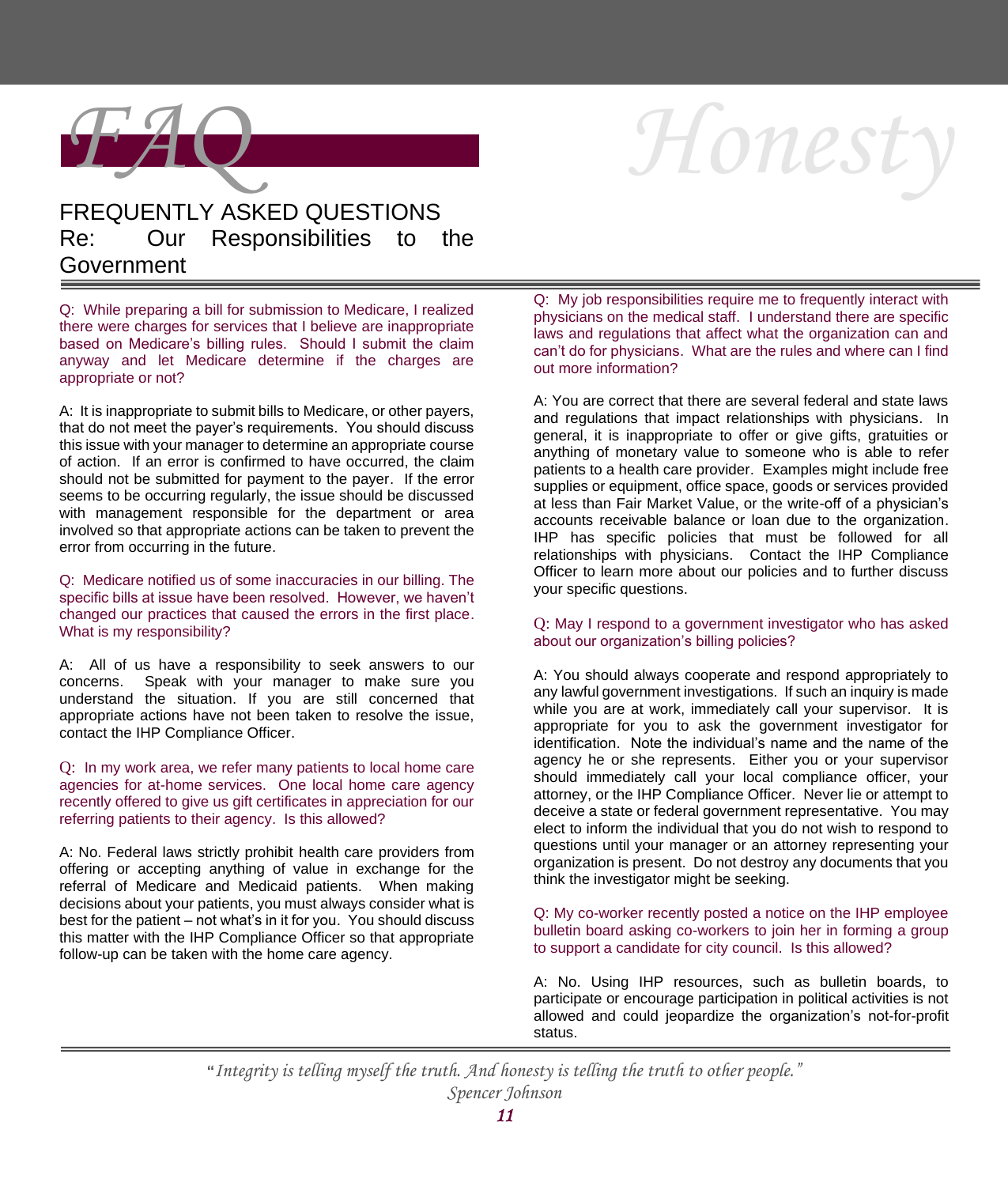

# *Honesty*

## FREQUENTLY ASKED QUESTIONS Re: Our Responsibilities to the Government

Q: While preparing a bill for submission to Medicare, I realized there were charges for services that I believe are inappropriate based on Medicare's billing rules. Should I submit the claim anyway and let Medicare determine if the charges are appropriate or not?

A: It is inappropriate to submit bills to Medicare, or other payers, that do not meet the payer's requirements. You should discuss this issue with your manager to determine an appropriate course of action. If an error is confirmed to have occurred, the claim should not be submitted for payment to the payer. If the error seems to be occurring regularly, the issue should be discussed with management responsible for the department or area involved so that appropriate actions can be taken to prevent the error from occurring in the future.

Q: Medicare notified us of some inaccuracies in our billing. The specific bills at issue have been resolved. However, we haven't changed our practices that caused the errors in the first place. What is my responsibility?

A: All of us have a responsibility to seek answers to our concerns. Speak with your manager to make sure you understand the situation. If you are still concerned that appropriate actions have not been taken to resolve the issue, contact the IHP Compliance Officer.

Q: In my work area, we refer many patients to local home care agencies for at-home services. One local home care agency recently offered to give us gift certificates in appreciation for our referring patients to their agency. Is this allowed?

A: No. Federal laws strictly prohibit health care providers from offering or accepting anything of value in exchange for the referral of Medicare and Medicaid patients. When making decisions about your patients, you must always consider what is best for the patient – not what's in it for you. You should discuss this matter with the IHP Compliance Officer so that appropriate follow-up can be taken with the home care agency.

Q: My job responsibilities require me to frequently interact with physicians on the medical staff. I understand there are specific laws and regulations that affect what the organization can and can't do for physicians. What are the rules and where can I find out more information?

A: You are correct that there are several federal and state laws and regulations that impact relationships with physicians. In general, it is inappropriate to offer or give gifts, gratuities or anything of monetary value to someone who is able to refer patients to a health care provider. Examples might include free supplies or equipment, office space, goods or services provided at less than Fair Market Value, or the write-off of a physician's accounts receivable balance or loan due to the organization. IHP has specific policies that must be followed for all relationships with physicians. Contact the IHP Compliance Officer to learn more about our policies and to further discuss your specific questions.

#### Q: May I respond to a government investigator who has asked about our organization's billing policies?

A: You should always cooperate and respond appropriately to any lawful government investigations. If such an inquiry is made while you are at work, immediately call your supervisor. It is appropriate for you to ask the government investigator for identification. Note the individual's name and the name of the agency he or she represents. Either you or your supervisor should immediately call your local compliance officer, your attorney, or the IHP Compliance Officer. Never lie or attempt to deceive a state or federal government representative. You may elect to inform the individual that you do not wish to respond to questions until your manager or an attorney representing your organization is present. Do not destroy any documents that you think the investigator might be seeking.

Q: My co-worker recently posted a notice on the IHP employee bulletin board asking co-workers to join her in forming a group to support a candidate for city council. Is this allowed?

A: No. Using IHP resources, such as bulletin boards, to participate or encourage participation in political activities is not allowed and could jeopardize the organization's not-for-profit status.

**"***Integrity is telling myself the truth. And honesty is telling the truth to other people." Spencer Johnson*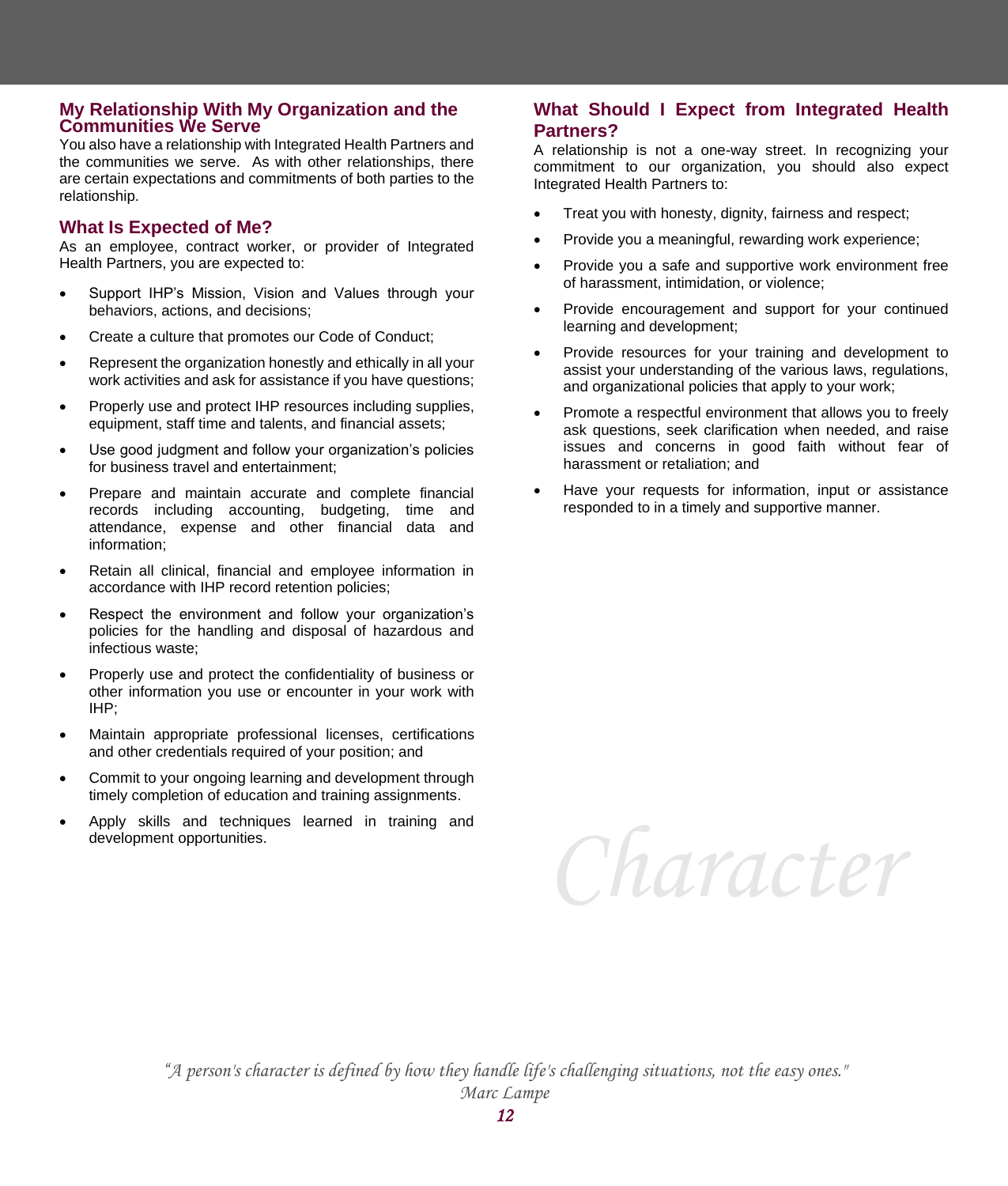#### **My Relationship With My Organization and the Communities We Serve**

You also have a relationship with Integrated Health Partners and the communities we serve. As with other relationships, there are certain expectations and commitments of both parties to the relationship.

## **What Is Expected of Me?**

As an employee, contract worker, or provider of Integrated Health Partners, you are expected to:

- Support IHP's Mission, Vision and Values through your behaviors, actions, and decisions;
- Create a culture that promotes our Code of Conduct;
- Represent the organization honestly and ethically in all your work activities and ask for assistance if you have questions;
- Properly use and protect IHP resources including supplies, equipment, staff time and talents, and financial assets;
- Use good judgment and follow your organization's policies for business travel and entertainment;
- Prepare and maintain accurate and complete financial records including accounting, budgeting, time and attendance, expense and other financial data and information;
- Retain all clinical, financial and employee information in accordance with IHP record retention policies;
- Respect the environment and follow your organization's policies for the handling and disposal of hazardous and infectious waste;
- Properly use and protect the confidentiality of business or other information you use or encounter in your work with IHP;
- Maintain appropriate professional licenses, certifications and other credentials required of your position; and
- Commit to your ongoing learning and development through timely completion of education and training assignments.
- Apply skills and techniques learned in training and development opportunities.

## **What Should I Expect from Integrated Health Partners?**

A relationship is not a one-way street. In recognizing your commitment to our organization, you should also expect Integrated Health Partners to:

- Treat you with honesty, dignity, fairness and respect;
- Provide you a meaningful, rewarding work experience;
- Provide you a safe and supportive work environment free of harassment, intimidation, or violence;
- Provide encouragement and support for your continued learning and development;
- Provide resources for your training and development to assist your understanding of the various laws, regulations, and organizational policies that apply to your work;
- Promote a respectful environment that allows you to freely ask questions, seek clarification when needed, and raise issues and concerns in good faith without fear of harassment or retaliation; and
- Have your requests for information, input or assistance responded to in a timely and supportive manner.

*Character*

*"A person's character is defined by how they handle life's challenging situations, not the easy ones." Marc Lampe*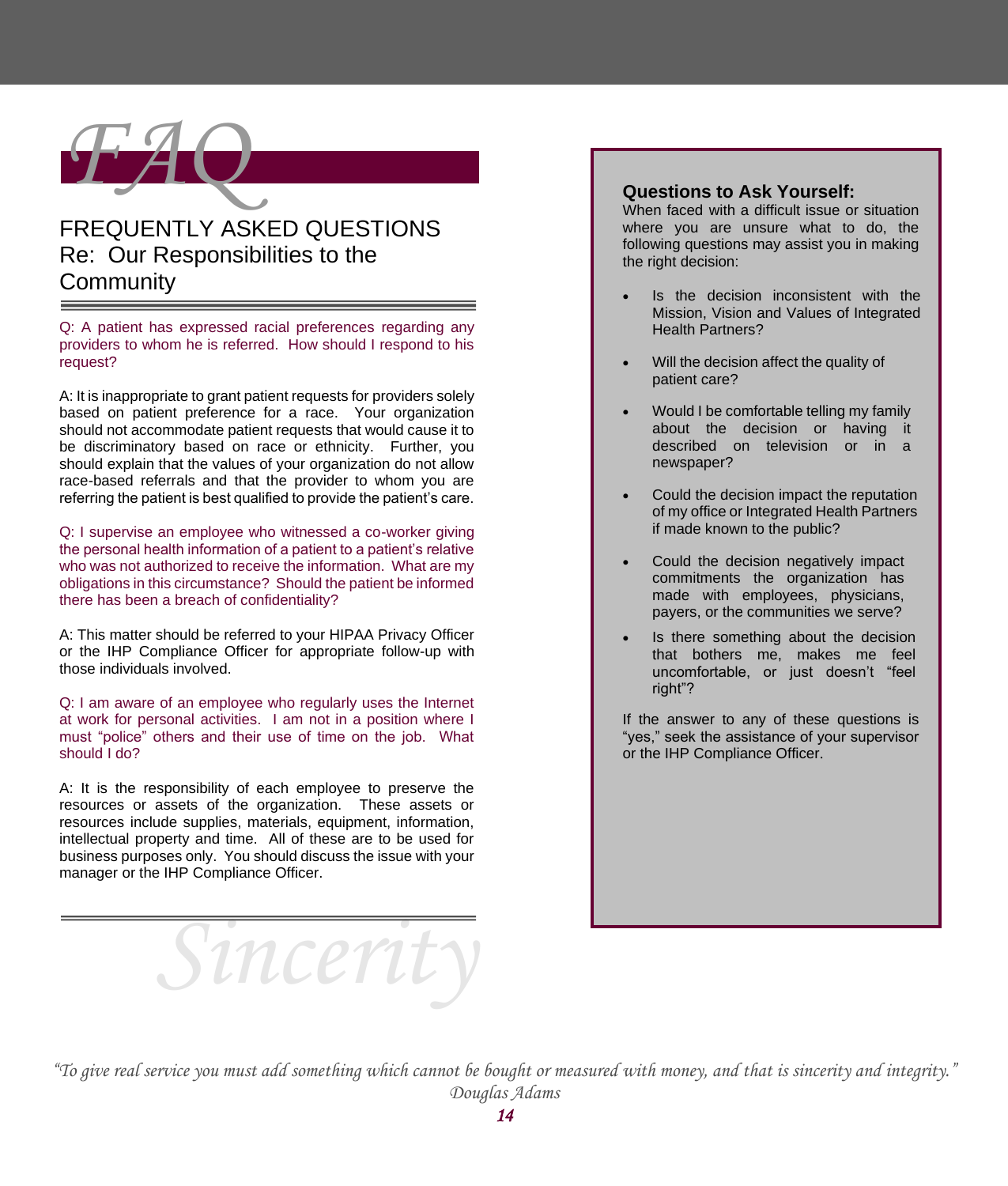

## FREQUENTLY ASKED QUESTIONS Re: Our Responsibilities to the **Community**

Q: A patient has expressed racial preferences regarding any providers to whom he is referred. How should I respond to his request?

A: It is inappropriate to grant patient requests for providers solely based on patient preference for a race. Your organization should not accommodate patient requests that would cause it to be discriminatory based on race or ethnicity. Further, you should explain that the values of your organization do not allow race-based referrals and that the provider to whom you are referring the patient is best qualified to provide the patient's care.

Q: I supervise an employee who witnessed a co-worker giving the personal health information of a patient to a patient's relative who was not authorized to receive the information. What are my obligations in this circumstance? Should the patient be informed there has been a breach of confidentiality?

A: This matter should be referred to your HIPAA Privacy Officer or the IHP Compliance Officer for appropriate follow-up with those individuals involved.

Q: I am aware of an employee who regularly uses the Internet at work for personal activities. I am not in a position where I must "police" others and their use of time on the job. What should I do?

A: It is the responsibility of each employee to preserve the resources or assets of the organization. These assets or resources include supplies, materials, equipment, information, intellectual property and time. All of these are to be used for business purposes only. You should discuss the issue with your manager or the IHP Compliance Officer.

*Sincerity*

## **Questions to Ask Yourself:**

When faced with a difficult issue or situation where you are unsure what to do, the following questions may assist you in making the right decision:

- Is the decision inconsistent with the Mission, Vision and Values of Integrated Health Partners?
- Will the decision affect the quality of patient care?
- Would I be comfortable telling my family about the decision or having it described on television or in a newspaper?
- Could the decision impact the reputation of my office or Integrated Health Partners if made known to the public?
- Could the decision negatively impact commitments the organization has made with employees, physicians, payers, or the communities we serve?
- Is there something about the decision that bothers me, makes me feel uncomfortable, or just doesn't "feel right"?

If the answer to any of these questions is "yes," seek the assistance of your supervisor or the IHP Compliance Officer.

*"To give real service you must add something which cannot be bought or measured with money, and that is sincerity and integrity." Douglas Adams*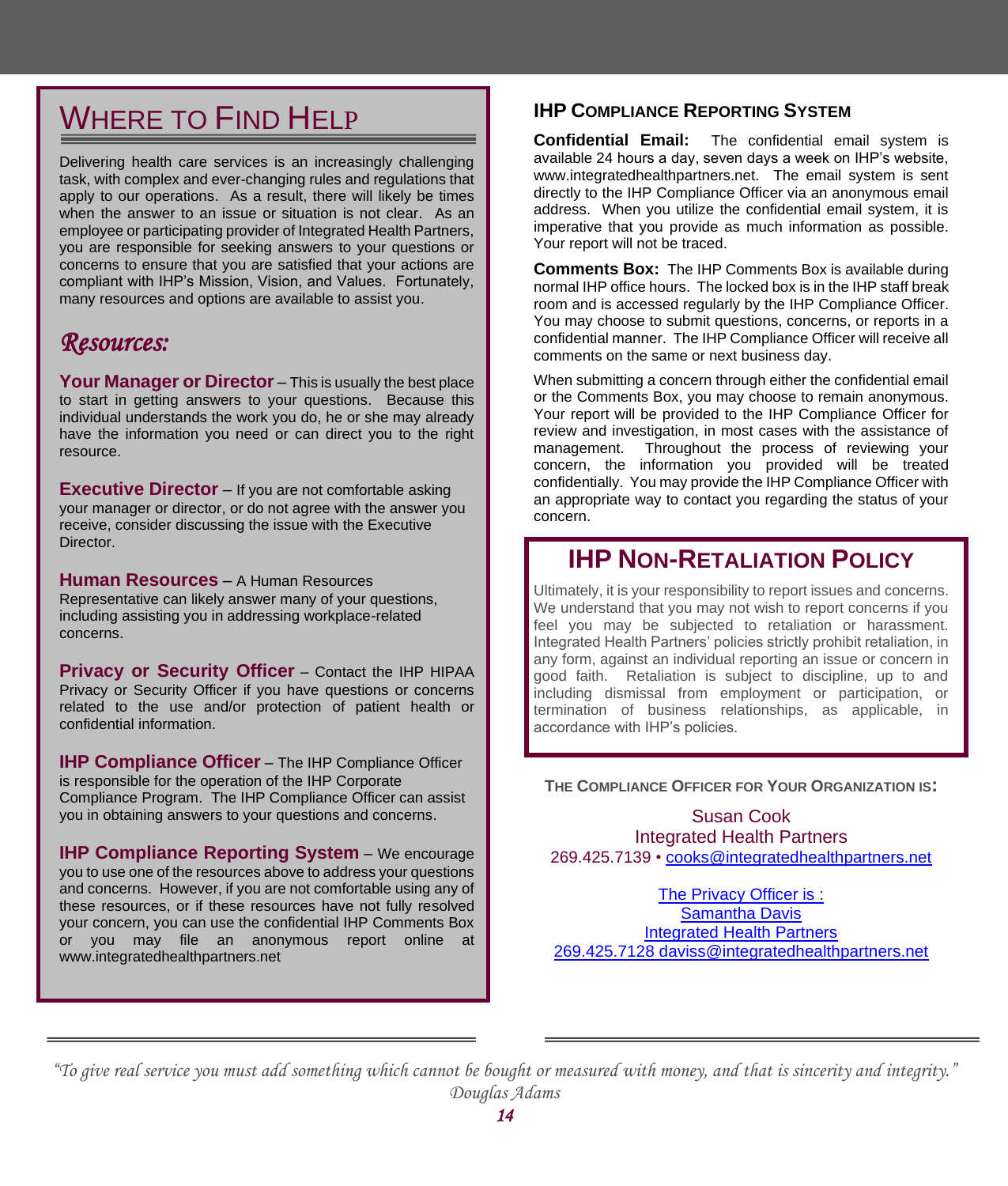## WHERE TO FIND HELP

Delivering health care services is an increasingly challenging task, with complex and ever-changing rules and regulations that apply to our operations. As a result, there will likely be times when the answer to an issue or situation is not clear. As an employee or participating provider of Integrated Health Partners, you are responsible for seeking answers to your questions or concerns to ensure that you are satisfied that your actions are compliant with IHP's Mission, Vision, and Values. Fortunately, many resources and options are available to assist you.

## *Resources:*

**Your Manager or Director** – This is usually the best place to start in getting answers to your questions. Because this individual understands the work you do, he or she may already have the information you need or can direct you to the right resource.

**Executive Director** – If you are not comfortable asking your manager or director, or do not agree with the answer you receive, consider discussing the issue with the Executive Director.

**Human Resources** – A Human Resources Representative can likely answer many of your questions, including assisting you in addressing workplace-related concerns.

**Privacy or Security Officer** – Contact the IHP HIPAA Privacy or Security Officer if you have questions or concerns related to the use and/or protection of patient health or confidential information.

**IHP Compliance Officer** – The IHP Compliance Officer is responsible for the operation of the IHP Corporate Compliance Program. The IHP Compliance Officer can assist you in obtaining answers to your questions and concerns.

**IHP Compliance Reporting System** – We encourage you to use one of the resources above to address your questions and concerns. However, if you are not comfortable using any of these resources, or if these resources have not fully resolved your concern, you can use the confidential IHP Comments Box or you may file an anonymous report online at www.integratedhealthpartners.net

## **IHP COMPLIANCE REPORTING SYSTEM**

**Confidential Email:** The confidential email system is available 24 hours a day, seven days a week on IHP's website, www.integratedhealthpartners.net. The email system is sent directly to the IHP Compliance Officer via an anonymous email address. When you utilize the confidential email system, it is imperative that you provide as much information as possible. Your report will not be traced.

**Comments Box:** The IHP Comments Box is available during normal IHP office hours. The locked box is in the IHP staff break room and is accessed regularly by the IHP Compliance Officer. You may choose to submit questions, concerns, or reports in a confidential manner. The IHP Compliance Officer will receive all comments on the same or next business day.

When submitting a concern through either the confidential email or the Comments Box, you may choose to remain anonymous. Your report will be provided to the IHP Compliance Officer for review and investigation, in most cases with the assistance of management. Throughout the process of reviewing your concern, the information you provided will be treated confidentially. You may provide the IHP Compliance Officer with an appropriate way to contact you regarding the status of your concern.

## **IHP NON-RETALIATION POLICY**

Ultimately, it is your responsibility to report issues and concerns. We understand that you may not wish to report concerns if you feel you may be subjected to retaliation or harassment. Integrated Health Partners' policies strictly prohibit retaliation, in any form, against an individual reporting an issue or concern in good faith. Retaliation is subject to discipline, up to and including dismissal from employment or participation, or termination of business relationships, as applicable, in accordance with IHP's policies.

#### **THE COMPLIANCE OFFICER FOR YOUR ORGANIZATION IS:**

Susan Cook Integrated Health Partners 269.425.7139 • [cooks@integratedhealthpartners.net](mailto:cooks@)

The Privacy Officer is : Samantha Davis Integrated Health Partners 269.425.7128 daviss@integratedhealthpartners.net

*"To give real service you must add something which cannot be bought or measured with money, and that is sincerity and integrity." Douglas Adams*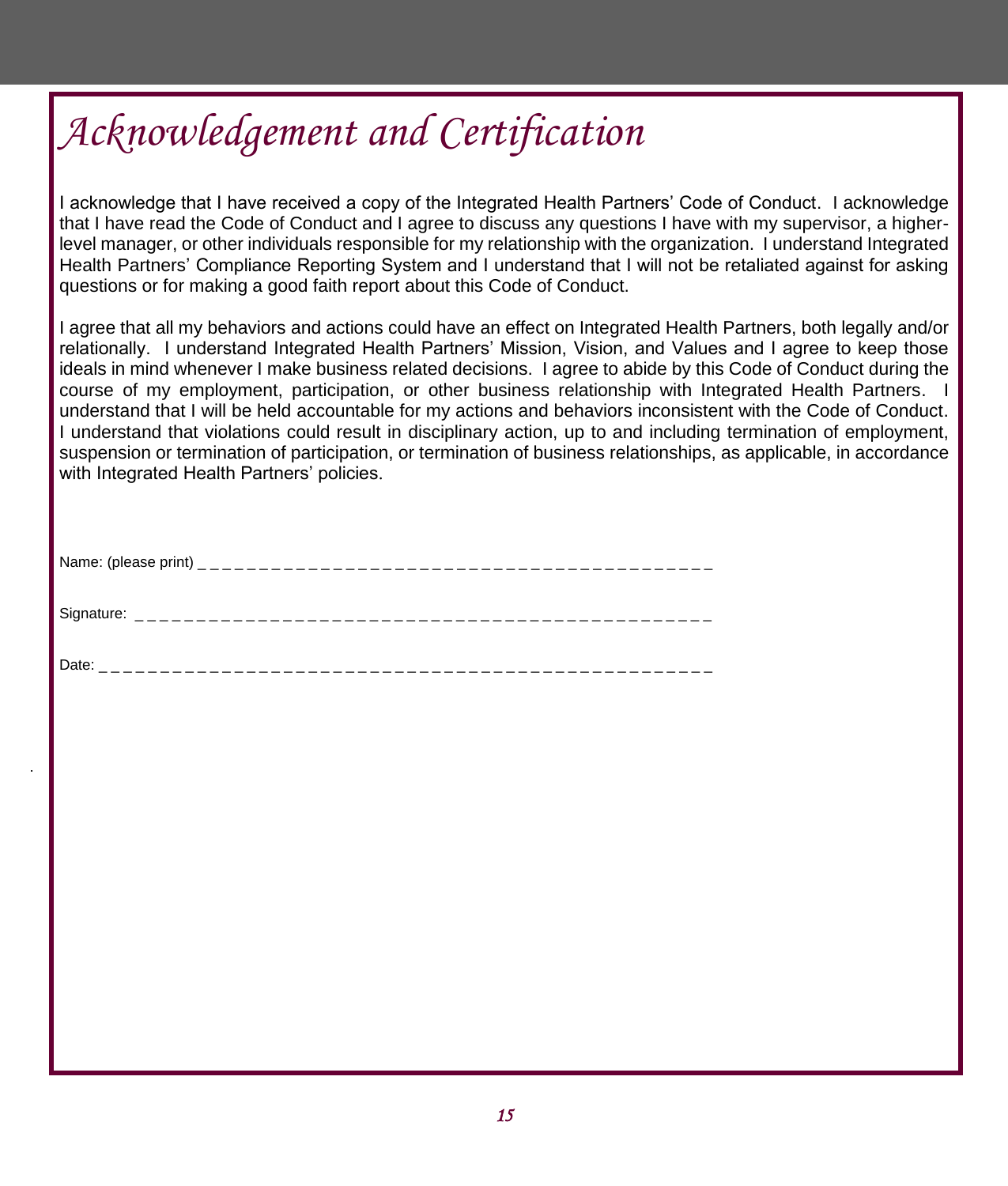# *Acknowledgement and Certification*

I acknowledge that I have received a copy of the Integrated Health Partners' Code of Conduct. I acknowledge that I have read the Code of Conduct and I agree to discuss any questions I have with my supervisor, a higherlevel manager, or other individuals responsible for my relationship with the organization. I understand Integrated Health Partners' Compliance Reporting System and I understand that I will not be retaliated against for asking questions or for making a good faith report about this Code of Conduct.

I agree that all my behaviors and actions could have an effect on Integrated Health Partners, both legally and/or relationally. I understand Integrated Health Partners' Mission, Vision, and Values and I agree to keep those ideals in mind whenever I make business related decisions. I agree to abide by this Code of Conduct during the course of my employment, participation, or other business relationship with Integrated Health Partners. I understand that I will be held accountable for my actions and behaviors inconsistent with the Code of Conduct. I understand that violations could result in disciplinary action, up to and including termination of employment, suspension or termination of participation, or termination of business relationships, as applicable, in accordance with Integrated Health Partners' policies.

| Name: (please |
|---------------|
|---------------|

| $\sim$ |  |  |  |  |  |  |  |  |  |  |  |  |  |  |  |
|--------|--|--|--|--|--|--|--|--|--|--|--|--|--|--|--|
|        |  |  |  |  |  |  |  |  |  |  |  |  |  |  |  |

Date: \_ \_ \_ \_ \_ \_ \_ \_ \_ \_ \_ \_ \_ \_ \_ \_ \_ \_ \_ \_ \_ \_ \_ \_ \_ \_ \_ \_ \_ \_ \_ \_ \_ \_ \_ \_ \_ \_ \_ \_ \_ \_ \_ \_ \_ \_ \_ \_ \_ \_

.